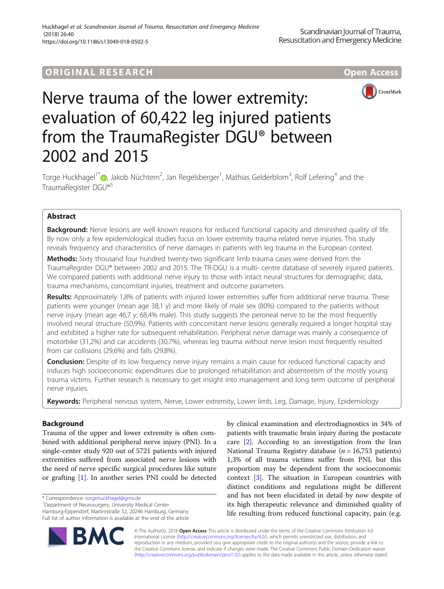## **ORIGINAL RESEARCH CONFIDENTIAL CONTRACT CONTRACT OPEN ACCESS**



# Nerve trauma of the lower extremity: evaluation of 60,422 leg injured patients from the TraumaRegister DGU® between 2002 and 2015

Torge Huckhagel<sup>1\*</sup>�, Jakob Nüchtern<sup>2</sup>, Jan Regelsberger<sup>1</sup>, Mathias Gelderblom<sup>3</sup>, Rolf Lefering<sup>4</sup> and the TraumaRegister DGU®<sup>5</sup>

## Abstract

**Background:** Nerve lesions are well known reasons for reduced functional capacity and diminished quality of life. By now only a few epidemiological studies focus on lower extremity trauma related nerve injuries. This study reveals frequency and characteristics of nerve damages in patients with leg trauma in the European context.

**Methods:** Sixty thousand four hundred twenty-two significant limb trauma cases were derived from the TraumaRegister DGU® between 2002 and 2015. The TR-DGU is a multi- centre database of severely injured patients. We compared patients with additional nerve injury to those with intact neural structures for demographic data, trauma mechanisms, concomitant injuries, treatment and outcome parameters.

Results: Approximately 1,8% of patients with injured lower extremities suffer from additional nerve trauma. These patients were younger (mean age 38,1 y) and more likely of male sex (80%) compared to the patients without nerve injury (mean age 46,7 y; 68,4% male). This study suggests the peroneal nerve to be the most frequently involved neural structure (50,9%). Patients with concomitant nerve lesions generally required a longer hospital stay and exhibited a higher rate for subsequent rehabilitation. Peripheral nerve damage was mainly a consequence of motorbike (31,2%) and car accidents (30,7%), whereas leg trauma without nerve lesion most frequently resulted from car collisions (29,6%) and falls (29,8%).

**Conclusion:** Despite of its low frequency nerve injury remains a main cause for reduced functional capacity and induces high socioeconomic expenditures due to prolonged rehabilitation and absenteeism of the mostly young trauma victims. Further research is necessary to get insight into management and long term outcome of peripheral nerve injuries.

Keywords: Peripheral nervous system, Nerve, Lower extremity, Lower limb, Leg, Damage, Injury, Epidemiology

## Background

Trauma of the upper and lower extremity is often combined with additional peripheral nerve injury (PNI). In a single-center study 920 out of 5721 patients with injured extremities suffered from associated nerve lesions with the need of nerve specific surgical procedures like suture or grafting [[1\]](#page-7-0). In another series PNI could be detected

\* Correspondence: [torgehuckhagel@gmx.de](mailto:torgehuckhagel@gmx.de) <sup>1</sup>

<sup>1</sup>Department of Neurosurgery, University Medical Center Hamburg-Eppendorf, Martinistraße 52, 20246 Hamburg, Germany Full list of author information is available at the end of the article



© The Author(s). 2018 Open Access This article is distributed under the terms of the Creative Commons Attribution 4.0 International License [\(http://creativecommons.org/licenses/by/4.0/](http://creativecommons.org/licenses/by/4.0/)), which permits unrestricted use, distribution, and reproduction in any medium, provided you give appropriate credit to the original author(s) and the source, provide a link to the Creative Commons license, and indicate if changes were made. The Creative Commons Public Domain Dedication waiver [\(http://creativecommons.org/publicdomain/zero/1.0/](http://creativecommons.org/publicdomain/zero/1.0/)) applies to the data made available in this article, unless otherwise stated.

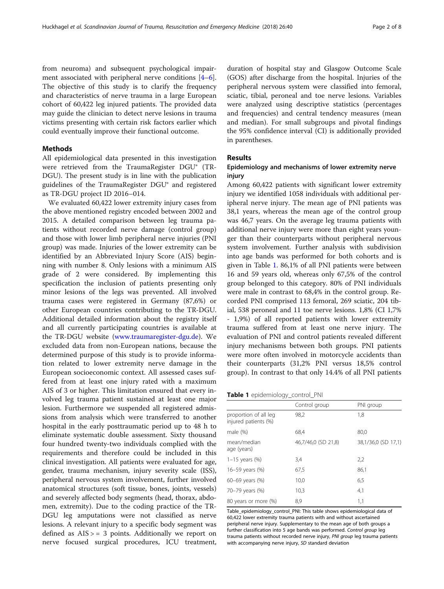from neuroma) and subsequent psychological impairment associated with peripheral nerve conditions [\[4](#page-7-0)–[6](#page-7-0)]. The objective of this study is to clarify the frequency and characteristics of nerve trauma in a large European cohort of 60,422 leg injured patients. The provided data may guide the clinician to detect nerve lesions in trauma victims presenting with certain risk factors earlier which could eventually improve their functional outcome.

### Methods

All epidemiological data presented in this investigation were retrieved from the TraumaRegister DGU® (TR-DGU). The present study is in line with the publication guidelines of the TraumaRegister DGU® and registered as TR-DGU project ID 2016–014.

We evaluated 60,422 lower extremity injury cases from the above mentioned registry encoded between 2002 and 2015. A detailed comparison between leg trauma patients without recorded nerve damage (control group) and those with lower limb peripheral nerve injuries (PNI group) was made. Injuries of the lower extremity can be identified by an Abbreviated Injury Score (AIS) beginning with number 8. Only lesions with a minimum AIS grade of 2 were considered. By implementing this specification the inclusion of patients presenting only minor lesions of the legs was prevented. All involved trauma cases were registered in Germany (87,6%) or other European countries contributing to the TR-DGU. Additional detailed information about the registry itself and all currently participating countries is available at the TR-DGU website ([www.traumaregister-dgu.de](http://www.traumaregister-dgu.de)). We excluded data from non-European nations, because the determined purpose of this study is to provide information related to lower extremity nerve damage in the European socioeconomic context. All assessed cases suffered from at least one injury rated with a maximum AIS of 3 or higher. This limitation ensured that every involved leg trauma patient sustained at least one major lesion. Furthermore we suspended all registered admissions from analysis which were transferred to another hospital in the early posttraumatic period up to 48 h to eliminate systematic double assessment. Sixty thousand four hundred twenty-two individuals complied with the requirements and therefore could be included in this clinical investigation. All patients were evaluated for age, gender, trauma mechanism, injury severity scale (ISS), peripheral nervous system involvement, further involved anatomical structures (soft tissue, bones, joints, vessels) and severely affected body segments (head, thorax, abdomen, extremity). Due to the coding practice of the TR-DGU leg amputations were not classified as nerve lesions. A relevant injury to a specific body segment was defined as  $AIS = 3$  points. Additionally we report on nerve focused surgical procedures, ICU treatment,

duration of hospital stay and Glasgow Outcome Scale (GOS) after discharge from the hospital. Injuries of the peripheral nervous system were classified into femoral, sciatic, tibial, peroneal and toe nerve lesions. Variables were analyzed using descriptive statistics (percentages and frequencies) and central tendency measures (mean and median). For small subgroups and pivotal findings the 95% confidence interval (CI) is additionally provided in parentheses.

## Results

## Epidemiology and mechanisms of lower extremity nerve injury

Among 60,422 patients with significant lower extremity injury we identified 1058 individuals with additional peripheral nerve injury. The mean age of PNI patients was 38,1 years, whereas the mean age of the control group was 46,7 years. On the average leg trauma patients with additional nerve injury were more than eight years younger than their counterparts without peripheral nervous system involvement. Further analysis with subdivision into age bands was performed for both cohorts and is given in Table 1. 86,1% of all PNI patients were between 16 and 59 years old, whereas only 67,5% of the control group belonged to this category. 80% of PNI individuals were male in contrast to 68,4% in the control group. Recorded PNI comprised 113 femoral, 269 sciatic, 204 tibial, 538 peroneal and 11 toe nerve lesions. 1,8% (CI 1,7% - 1,9%) of all reported patients with lower extremity trauma suffered from at least one nerve injury. The evaluation of PNI and control patients revealed different injury mechanisms between both groups. PNI patients were more often involved in motorcycle accidents than their counterparts (31,2% PNI versus 18,5% control group). In contrast to that only 14.4% of all PNI patients

|  | Table 1 epidemiology_control_PNI |  |  |
|--|----------------------------------|--|--|
|--|----------------------------------|--|--|

|                                               | Control group       | PNI group           |
|-----------------------------------------------|---------------------|---------------------|
| proportion of all leg<br>injured patients (%) | 98,2                | 1,8                 |
| male $(\%)$                                   | 68.4                | 80,0                |
| mean/median<br>age (years)                    | 46,7/46,0 (SD 21,8) | 38,1/36,0 (SD 17,1) |
| $1 - 15$ years $(\%)$                         | 3,4                 | 2,2                 |
| 16-59 years (%)                               | 67,5                | 86,1                |
| 60-69 years (%)                               | 10,0                | 6,5                 |
| 70-79 years (%)                               | 10,3                | 4,1                 |
| 80 years or more (%)                          | 8,9                 | 1,1                 |

Table\_epidemiology\_control\_PNI: This table shows epidemiological data of 60,422 lower extremity trauma patients with and without ascertained peripheral nerve injury. Supplementary to the mean age of both groups a further classification into 5 age bands was performed. Control group leg trauma patients without recorded nerve injury, PNI group leg trauma patients with accompanying nerve injury, SD standard deviation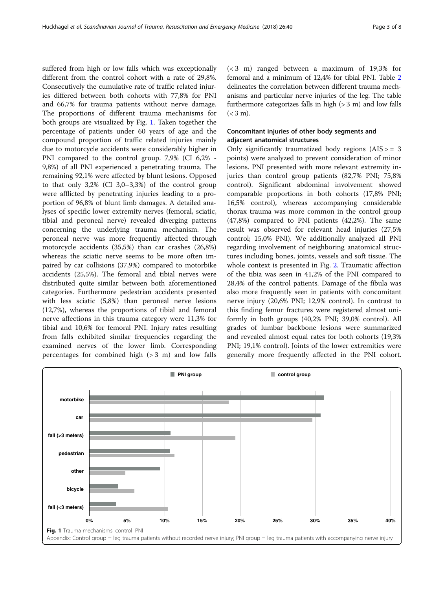suffered from high or low falls which was exceptionally different from the control cohort with a rate of 29,8%. Consecutively the cumulative rate of traffic related injuries differed between both cohorts with 77,8% for PNI and 66,7% for trauma patients without nerve damage. The proportions of different trauma mechanisms for both groups are visualized by Fig. 1. Taken together the percentage of patients under 60 years of age and the compound proportion of traffic related injuries mainly due to motorcycle accidents were considerably higher in PNI compared to the control group. 7,9% (CI 6,2% - 9,8%) of all PNI experienced a penetrating trauma. The remaining 92,1% were affected by blunt lesions. Opposed to that only 3,2% (CI 3,0–3,3%) of the control group were afflicted by penetrating injuries leading to a proportion of 96,8% of blunt limb damages. A detailed analyses of specific lower extremity nerves (femoral, sciatic, tibial and peroneal nerve) revealed diverging patterns concerning the underlying trauma mechanism. The peroneal nerve was more frequently affected through motorcycle accidents (35,5%) than car crashes (26,8%) whereas the sciatic nerve seems to be more often impaired by car collisions (37,9%) compared to motorbike accidents (25,5%). The femoral and tibial nerves were distributed quite similar between both aforementioned categories. Furthermore pedestrian accidents presented with less sciatic (5,8%) than peroneal nerve lesions (12,7%), whereas the proportions of tibial and femoral nerve affections in this trauma category were 11,3% for tibial and 10,6% for femoral PNI. Injury rates resulting from falls exhibited similar frequencies regarding the examined nerves of the lower limb. Corresponding percentages for combined high  $(> 3 \, \text{m})$  and low falls (< 3 m) ranged between a maximum of 19,3% for femoral and a minimum of 12,4% for tibial PNI. Table [2](#page-3-0) delineates the correlation between different trauma mechanisms and particular nerve injuries of the leg. The table furthermore categorizes falls in high (> 3 m) and low falls  $(< 3 \, \text{m})$ .

## Concomitant injuries of other body segments and adjacent anatomical structures

Only significantly traumatized body regions  $(AB) = 3$ points) were analyzed to prevent consideration of minor lesions. PNI presented with more relevant extremity injuries than control group patients (82,7% PNI; 75,8% control). Significant abdominal involvement showed comparable proportions in both cohorts (17,8% PNI; 16,5% control), whereas accompanying considerable thorax trauma was more common in the control group (47,8%) compared to PNI patients (42,2%). The same result was observed for relevant head injuries (27,5% control; 15,0% PNI). We additionally analyzed all PNI regarding involvement of neighboring anatomical structures including bones, joints, vessels and soft tissue. The whole context is presented in Fig. [2](#page-3-0). Traumatic affection of the tibia was seen in 41,2% of the PNI compared to 28,4% of the control patients. Damage of the fibula was also more frequently seen in patients with concomitant nerve injury (20,6% PNI; 12,9% control). In contrast to this finding femur fractures were registered almost uniformly in both groups (40,2% PNI; 39,0% control). All grades of lumbar backbone lesions were summarized and revealed almost equal rates for both cohorts (19,3% PNI; 19,1% control). Joints of the lower extremities were generally more frequently affected in the PNI cohort.

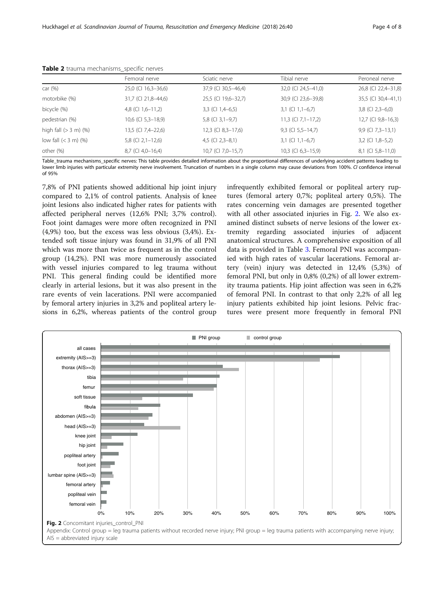|                        | Femoral nerve       | Sciatic nerve       | Tibial nerve          | Peroneal nerve      |
|------------------------|---------------------|---------------------|-----------------------|---------------------|
| car $(\%)$             | 25,0 (CI 16,3-36,6) | 37,9 (CI 30,5-46,4) | 32,0 (CI 24,5-41,0)   | 26,8 (CI 22,4-31,8) |
| motorbike (%)          | 31,7 (CI 21,8-44,6) | 25,5 (CI 19,6-32,7) | 30,9 (CI 23,6-39,8)   | 35,5 (CI 30,4-41,1) |
| bicycle (%)            | 4,8 (CI 1,6-11,2)   | $3,3$ (CI 1,4–6,5)  | $3,1$ (CI 1,1–6,7)    | $3,8$ (CI 2,3–6,0)  |
| pedestrian (%)         | 10,6 (CI 5,3-18,9)  | 5,8 (CI 3,1-9,7)    | 11,3 (CI 7,1-17,2)    | 12,7 (CI 9,8-16,3)  |
| high fall $(>3$ m) $%$ | 13,5 (CI 7,4-22,6)  | 12,3 (CI 8,3-17,6)  | $9,3$ (CI 5,5-14,7)   | $9,9$ (CI 7,3-13,1) |
| low fall $(< 3$ m) $%$ | 5,8 (CI 2,1-12,6)   | 4,5 (CI $2,3-8,1$ ) | $3,1$ (CI 1,1-6,7)    | $3,2$ (CI 1,8-5,2)  |
| other (%)              | 8,7 (CI 4,0-16,4)   | 10,7 (CI 7,0-15,7)  | 10,3 (CI $6,3-15,9$ ) | 8,1 (CI 5,8-11,0)   |

<span id="page-3-0"></span>Table 2 trauma mechanisms specific nerves

Table\_trauma mechanisms\_specific nerves: This table provides detailed information about the proportional differences of underlying accident patterns leading to lower limb injuries with particular extremity nerve involvement. Truncation of numbers in a single column may cause deviations from 100%. CI confidence interval of 95%

7,8% of PNI patients showed additional hip joint injury compared to 2,1% of control patients. Analysis of knee joint lesions also indicated higher rates for patients with affected peripheral nerves (12,6% PNI; 3,7% control). Foot joint damages were more often recognized in PNI (4,9%) too, but the excess was less obvious (3,4%). Extended soft tissue injury was found in 31,9% of all PNI which was more than twice as frequent as in the control group (14,2%). PNI was more numerously associated with vessel injuries compared to leg trauma without PNI. This general finding could be identified more clearly in arterial lesions, but it was also present in the rare events of vein lacerations. PNI were accompanied by femoral artery injuries in 3,2% and popliteal artery lesions in 6,2%, whereas patients of the control group infrequently exhibited femoral or popliteal artery ruptures (femoral artery 0,7%; popliteal artery 0,5%). The rates concerning vein damages are presented together with all other associated injuries in Fig. 2. We also examined distinct subsets of nerve lesions of the lower extremity regarding associated injuries of adjacent anatomical structures. A comprehensive exposition of all data is provided in Table [3](#page-4-0). Femoral PNI was accompanied with high rates of vascular lacerations. Femoral artery (vein) injury was detected in 12,4% (5,3%) of femoral PNI, but only in 0,8% (0,2%) of all lower extremity trauma patients. Hip joint affection was seen in 6,2% of femoral PNI. In contrast to that only 2,2% of all leg injury patients exhibited hip joint lesions. Pelvic fractures were present more frequently in femoral PNI

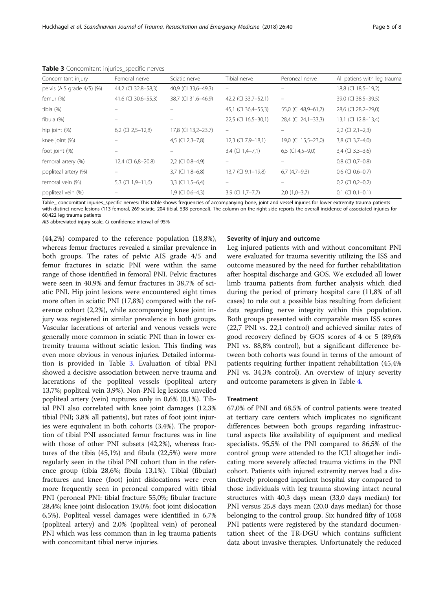| Concomitant injury         | Femoral nerve       | Sciatic nerve       | Tibial nerve               | Peroneal nerve      | All patiens with leg trauma |
|----------------------------|---------------------|---------------------|----------------------------|---------------------|-----------------------------|
| pelvis (AIS grade 4/5) (%) | 44,2 (CI 32,8-58,3) | 40,9 (CI 33,6-49,3) | $\overline{\phantom{m}}$   |                     | 18,8 (CI 18,5-19,2)         |
| femur (%)                  | 41,6 (CI 30,6-55,3) | 38,7 (CI 31,6-46,9) | 42,2 (CI 33,7-52,1)        | -                   | 39,0 (CI 38,5-39,5)         |
| tibia (%)                  |                     |                     | 45,1 (CI 36,4-55,3)        | 55,0 (CI 48,9-61,7) | 28,6 (CI 28,2-29,0)         |
| fibula (%)                 |                     |                     | 22,5 (CI 16,5-30,1)        | 28,4 (CI 24,1-33,3) | 13,1 (CI 12,8-13,4)         |
| hip joint (%)              | $6,2$ (CI 2,5-12,8) | 17,8 (CI 13,2-23,7) | $\qquad \qquad \  \  \, -$ |                     | $2,2$ (CI $2,1-2,3$ )       |
| knee joint (%)             |                     | 4,5 (CI 2,3-7,8)    | 12,3 (CI 7,9-18,1)         | 19,0 (CI 15,5-23,0) | 3,8 (CI 3,7-4,0)            |
| foot joint (%)             |                     |                     | 3,4 (CI 1,4–7,1)           | $6,5$ (CI 4,5-9,0)  | $3,4$ (CI 3,3-3,6)          |
| femoral artery (%)         | 12,4 (CI 6,8-20,8)  | $2,2$ (CI 0,8-4,9)  |                            |                     | $0,8$ (CI 0,7-0,8)          |
| popliteal artery (%)       |                     | $3,7$ (CI 1,8-6,8)  | 13,7 (CI 9,1-19,8)         | $6,7$ $(4,7-9,3)$   | $0,6$ (CI $0,6-0,7$ )       |
| femoral vein (%)           | 5,3 (CI 1,9-11,6)   | $3,3$ (CI 1,5-6,4)  |                            |                     | $0,2$ (CI $0,2-0,2$ )       |
| popliteal vein (%)         |                     | 1,9 (CI 0,6-4,3)    | 3,9 (CI 1,7-7,7)           | $2,0(1,0-3,7)$      | $0,1$ (CI $0,1-0,1$ )       |

<span id="page-4-0"></span>Table 3 Concomitant injuries specific nerves

Table concomitant injuries specific nerves: This table shows frequencies of accompanying bone, joint and vessel injuries for lower extremity trauma patients with distinct nerve lesions (113 femoral, 269 sciatic, 204 tibial, 538 peroneal). The column on the right side reports the overall incidence of associated injuries for 60,422 leg trauma patients

AIS abbreviated injury scale, CI confidence interval of 95%

(44,2%) compared to the reference population (18,8%), whereas femur fractures revealed a similar prevalence in both groups. The rates of pelvic AIS grade 4/5 and femur fractures in sciatic PNI were within the same range of those identified in femoral PNI. Pelvic fractures were seen in 40,9% and femur fractures in 38,7% of sciatic PNI. Hip joint lesions were encountered eight times more often in sciatic PNI (17,8%) compared with the reference cohort (2,2%), while accompanying knee joint injury was registered in similar prevalence in both groups. Vascular lacerations of arterial and venous vessels were generally more common in sciatic PNI than in lower extremity trauma without sciatic lesion. This finding was even more obvious in venous injuries. Detailed information is provided in Table 3. Evaluation of tibial PNI showed a decisive association between nerve trauma and lacerations of the popliteal vessels (popliteal artery 13,7%; popliteal vein 3,9%). Non-PNI leg lesions unveiled popliteal artery (vein) ruptures only in 0,6% (0,1%). Tibial PNI also correlated with knee joint damages (12,3% tibial PNI; 3,8% all patients), but rates of foot joint injuries were equivalent in both cohorts (3,4%). The proportion of tibial PNI associated femur fractures was in line with those of other PNI subsets (42,2%), whereas fractures of the tibia (45,1%) and fibula (22,5%) were more regularly seen in the tibial PNI cohort than in the reference group (tibia 28,6%; fibula 13,1%). Tibial (fibular) fractures and knee (foot) joint dislocations were even more frequently seen in peroneal compared with tibial PNI (peroneal PNI: tibial fracture 55,0%; fibular fracture 28,4%; knee joint dislocation 19,0%; foot joint dislocation 6,5%). Popliteal vessel damages were identified in 6,7% (popliteal artery) and 2,0% (popliteal vein) of peroneal PNI which was less common than in leg trauma patients with concomitant tibial nerve injuries.

#### Severity of injury and outcome

Leg injured patients with and without concomitant PNI were evaluated for trauma severitiy utilizing the ISS and outcome measured by the need for further rehabilitation after hospital discharge and GOS. We excluded all lower limb trauma patients from further analysis which died during the period of primary hospital care (11,8% of all cases) to rule out a possible bias resulting from deficient data regarding nerve integrity within this population. Both groups presented with comparable mean ISS scores (22,7 PNI vs. 22,1 control) and achieved similar rates of good recovery defined by GOS scores of 4 or 5 (89,6% PNI vs. 88,8% control), but a significant difference between both cohorts was found in terms of the amount of patients requiring further inpatient rehabilitation (45,4% PNI vs. 34,3% control). An overview of injury severity and outcome parameters is given in Table [4](#page-5-0).

#### Treatment

67,0% of PNI and 68,5% of control patients were treated at tertiary care centers which implicates no significant differences between both groups regarding infrastructural aspects like availability of equipment and medical specialists. 95,5% of the PNI compared to 86,5% of the control group were attended to the ICU altogether indicating more severely affected trauma victims in the PNI cohort. Patients with injured extremity nerves had a distinctively prolonged inpatient hospital stay compared to those individuals with leg trauma showing intact neural structures with 40,3 days mean (33,0 days median) for PNI versus 25,8 days mean (20,0 days median) for those belonging to the control group. Six hundred fifty of 1058 PNI patients were registered by the standard documentation sheet of the TR-DGU which contains sufficient data about invasive therapies. Unfortunately the reduced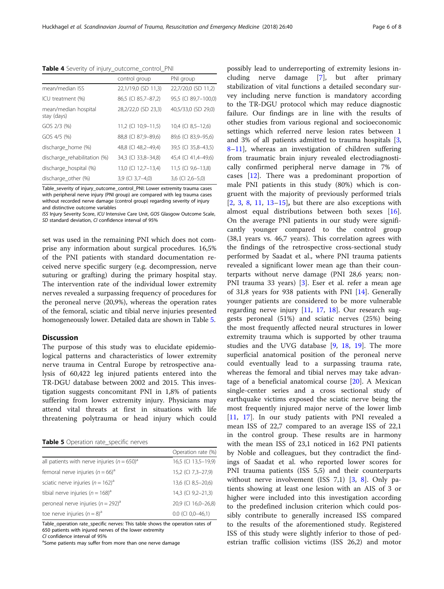<span id="page-5-0"></span>Table 4 Severity of injury\_outcome\_control\_PNI

|                                     | control group       | PNI group            |
|-------------------------------------|---------------------|----------------------|
| mean/median ISS                     | 22,1/19,0 (SD 11,3) | 22,7/20,0 (SD 11,2)  |
| ICU treatment (%)                   | 86,5 (CI 85,7-87,2) | 95,5 (CI 89,7-100,0) |
| mean/median hospital<br>stay (days) | 28,2/22,0 (SD 23,3) | 40,5/33,0 (SD 29,0)  |
| GOS 2/3 (%)                         | 11,2 (CI 10,9-11,5) | 10,4 (CI 8,5-12,6)   |
| GOS 4/5 (%)                         | 88,8 (CI 87,9-89,6) | 89,6 (CI 83,9-95,6)  |
| discharge_home (%)                  | 48,8 (CI 48,2-49,4) | 39,5 (CI 35,8-43,5)  |
| discharge_rehabilitation (%)        | 34,3 (CI 33,8-34,8) | 45,4 (CI 41,4-49,6)  |
| discharge_hospital (%)              | 13,0 (CI 12,7-13,4) | 11,5 (CI 9,6-13,8)   |
| discharge_other (%)                 | 3,9 (CI 3,7-4,0)    | 3,6 (CI 2,6-5,0)     |

Table\_severity of injury\_outcome\_control\_PNI: Lower extremity trauma cases with peripheral nerve injury (PNI group) are compared with leg trauma cases without recorded nerve damage (control group) regarding severity of injury and distinctive outcome variables

ISS Injury Severity Score, ICU Intensive Care Unit, GOS Glasgow Outcome Scale, SD standard deviation, CI confidence interval of 95%

set was used in the remaining PNI which does not comprise any information about surgical procedures. 16,5% of the PNI patients with standard documentation received nerve specific surgery (e.g. decompression, nerve suturing or grafting) during the primary hospital stay. The intervention rate of the individual lower extremity nerves revealed a surpassing frequency of procedures for the peroneal nerve (20,9%), whereas the operation rates of the femoral, sciatic and tibial nerve injuries presented homogeneously lower. Detailed data are shown in Table 5.

#### **Discussion**

The purpose of this study was to elucidate epidemiological patterns and characteristics of lower extremity nerve trauma in Central Europe by retrospective analysis of 60,422 leg injured patients entered into the TR-DGU database between 2002 and 2015. This investigation suggests concomitant PNI in 1,8% of patients suffering from lower extremity injury. Physicians may attend vital threats at first in situations with life threatening polytrauma or head injury which could

|  | Table 5 Operation rate_specific nerves |
|--|----------------------------------------|
|--|----------------------------------------|

|                                                             | Operation rate (%)  |
|-------------------------------------------------------------|---------------------|
| all patients with nerve injuries ( $n = 650$ ) <sup>a</sup> | 16,5 (CI 13,5-19,9) |
| femoral nerve injuries ( $n = 66$ ) <sup>a</sup>            | 15,2 (CI 7,3-27,9)  |
| sciatic nerve injuries ( $n = 162$ ) <sup>a</sup>           | 13.6 (CI 8.5-20.6)  |
| tibial nerve injuries ( $n = 168$ ) <sup>a</sup>            | 14,3 (CI 9,2-21,3)  |
| peroneal nerve injuries ( $n = 292$ ) <sup>a</sup>          | 20.9 (CI 16.0-26.8) |
| toe nerve injuries ( $n = 8$ ) <sup>a</sup>                 | $0.0$ (CI 0.0-46.1) |

Table\_operation rate\_specific nerves: This table shows the operation rates of 650 patients with injured nerves of the lower extremity CI confidence interval of 95%

<sup>a</sup>Some patients may suffer from more than one nerve damage

possibly lead to underreporting of extremity lesions including nerve damage [\[7](#page-7-0)], but after primary stabilization of vital functions a detailed secondary survey including nerve function is mandatory according to the TR-DGU protocol which may reduce diagnostic failure. Our findings are in line with the results of other studies from various regional and socioeconomic settings which referred nerve lesion rates between 1 and 3% of all patients admitted to trauma hospitals [\[3](#page-7-0), [8](#page-7-0)–[11](#page-7-0)], whereas an investigation of children suffering from traumatic brain injury revealed electrodiagnostically confirmed peripheral nerve damage in 7% of cases [\[12](#page-7-0)]. There was a predominant proportion of male PNI patients in this study (80%) which is congruent with the majority of previously performed trials [[2,](#page-7-0) [3](#page-7-0), [8](#page-7-0), [11](#page-7-0), [13](#page-7-0)–[15\]](#page-7-0), but there are also exceptions with almost equal distributions between both sexes [\[16](#page-7-0)]. On the average PNI patients in our study were significantly younger compared to the control group (38,1 years vs. 46,7 years). This correlation agrees with the findings of the retrospective cross-sectional study performed by Saadat et al., where PNI trauma patients revealed a significant lower mean age than their counterparts without nerve damage (PNI 28,6 years; non-PNI trauma 33 years) [\[3](#page-7-0)]. Eser et al. refer a mean age of 31,8 years for 938 patients with PNI [[14\]](#page-7-0). Generally younger patients are considered to be more vulnerable regarding nerve injury [[11](#page-7-0), [17](#page-7-0), [18\]](#page-7-0). Our research suggests peroneal (51%) and sciatic nerves (25%) being the most frequently affected neural structures in lower extremity trauma which is supported by other trauma studies and the UVG database  $[9, 18, 19]$  $[9, 18, 19]$  $[9, 18, 19]$  $[9, 18, 19]$  $[9, 18, 19]$  $[9, 18, 19]$ . The more superficial anatomical position of the peroneal nerve could eventually lead to a surpassing trauma rate, whereas the femoral and tibial nerves may take advantage of a beneficial anatomical course [[20](#page-7-0)]. A Mexican single-center series and a cross sectional study of earthquake victims exposed the sciatic nerve being the most frequently injured major nerve of the lower limb [[11,](#page-7-0) [17\]](#page-7-0). In our study patients with PNI revealed a mean ISS of 22,7 compared to an average ISS of 22,1 in the control group. These results are in harmony with the mean ISS of 23,1 noticed in 162 PNI patients by Noble and colleagues, but they contradict the findings of Saadat et al. who reported lower scores for PNI trauma patients (ISS 5,5) and their counterparts without nerve involvement (ISS 7,1) [[3,](#page-7-0) [8](#page-7-0)]. Only patients showing at least one lesion with an AIS of 3 or higher were included into this investigation according to the predefined inclusion criterion which could possibly contribute to generally increased ISS compared to the results of the aforementioned study. Registered ISS of this study were slightly inferior to those of pedestrian traffic collision victims (ISS 26,2) and motor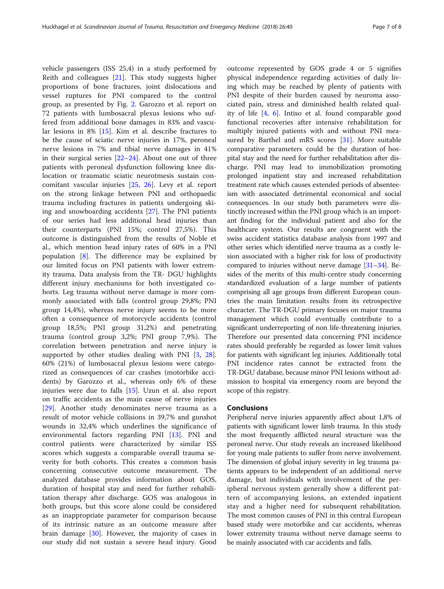vehicle passengers (ISS 25,4) in a study performed by Reith and colleagues [\[21](#page-7-0)]. This study suggests higher proportions of bone fractures, joint dislocations and vessel ruptures for PNI compared to the control group, as presented by Fig. [2.](#page-3-0) Garozzo et al. report on 72 patients with lumbosacral plexus lesions who suffered from additional bone damages in 83% and vascular lesions in 8% [\[15](#page-7-0)]. Kim et al. describe fractures to be the cause of sciatic nerve injuries in 17%, peroneal nerve lesions in 7% and tibial nerve damages in 41% in their surgical series [[22](#page-7-0)–[24](#page-7-0)]. About one out of three patients with peroneal dysfunction following knee dislocation or traumatic sciatic neurotmesis sustain concomitant vascular injuries [[25,](#page-7-0) [26](#page-7-0)]. Levy et al. report on the strong linkage between PNI and orthopaedic trauma including fractures in patients undergoing skiing and snowboarding accidents [[27\]](#page-7-0). The PNI patients of our series had less additional head injuries than their counterparts (PNI 15%; control 27,5%). This outcome is distinguished from the results of Noble et al., which mention head injury rates of 60% in a PNI population [\[8](#page-7-0)]. The difference may be explained by our limited focus on PNI patients with lower extremity trauma. Data analysis from the TR- DGU highlights different injury mechanisms for both investigated cohorts. Leg trauma without nerve damage is more commonly associated with falls (control group 29,8%; PNI group 14,4%), whereas nerve injury seems to be more often a consequence of motorcycle accidents (control group 18,5%; PNI group 31,2%) and penetrating trauma (control group 3,2%; PNI group 7,9%). The correlation between penetration and nerve injury is supported by other studies dealing with PNI [[3,](#page-7-0) [28](#page-7-0)]. 60% (21%) of lumbosacral plexus lesions were categorized as consequences of car crashes (motorbike accidents) by Garozzo et al., whereas only 6% of these injuries were due to falls [\[15\]](#page-7-0). Uzun et al. also report on traffic accidents as the main cause of nerve injuries [[29\]](#page-7-0). Another study denominates nerve trauma as a result of motor vehicle collisions in 39,7% and gunshot wounds in 32,4% which underlines the significance of environmental factors regarding PNI [\[13\]](#page-7-0). PNI and control patients were characterized by similar ISS scores which suggests a comparable overall trauma severity for both cohorts. This creates a common basis concerning consecutive outcome measurement. The analyzed database provides information about GOS, duration of hospital stay and need for further rehabilitation therapy after discharge. GOS was analogous in both groups, but this score alone could be considered as an inappropriate parameter for comparison because of its intrinsic nature as an outcome measure after brain damage [[30\]](#page-7-0). However, the majority of cases in our study did not sustain a severe head injury. Good

outcome represented by GOS grade 4 or 5 signifies physical independence regarding activities of daily living which may be reached by plenty of patients with PNI despite of their burden caused by neuroma associated pain, stress and diminished health related quality of life [[4,](#page-7-0) [6\]](#page-7-0). Intiso et al. found comparable good functional recoveries after intensive rehabilitation for multiply injured patients with and without PNI mea-sured by Barthel and mRS scores [\[31](#page-7-0)]. More suitable comparative parameters could be the duration of hospital stay and the need for further rehabilitation after discharge. PNI may lead to immobilization promoting prolonged inpatient stay and increased rehabilitation treatment rate which causes extended periods of absenteeism with associated detrimental economical and social consequences. In our study both parameters were distinctly increased within the PNI group which is an important finding for the individual patient and also for the healthcare system. Our results are congruent with the swiss accident statistics database analysis from 1997 and other series which identified nerve trauma as a costly lesion associated with a higher risk for loss of productivity compared to injuries without nerve damage [\[31](#page-7-0)–[34](#page-7-0)]. Besides of the merits of this multi-centre study concerning standardized evaluation of a large number of patients comprising all age groups from different European countries the main limitation results from its retrospective character. The TR-DGU primary focuses on major trauma management which could eventually contribute to a significant underreporting of non life-threatening injuries. Therefore our presented data concerning PNI incidence rates should preferably be regarded as lower limit values for patients with significant leg injuries. Additionally total PNI incidence rates cannot be extracted from the TR-DGU database, because minor PNI lesions without admission to hospital via emergency room are beyond the scope of this registry.

#### Conclusions

Peripheral nerve injuries apparently affect about 1,8% of patients with significant lower limb trauma. In this study the most frequently afflicted neural structure was the peroneal nerve. Our study reveals an increased likelihood for young male patients to suffer from nerve involvement. The dimension of global injury severity in leg trauma patients appears to be independent of an additional nerve damage, but individuals with involvement of the peripheral nervous system generally show a different pattern of accompanying lesions, an extended inpatient stay and a higher need for subsequent rehabilitation. The most common causes of PNI in this central European based study were motorbike and car accidents, whereas lower extremity trauma without nerve damage seems to be mainly associated with car accidents and falls.